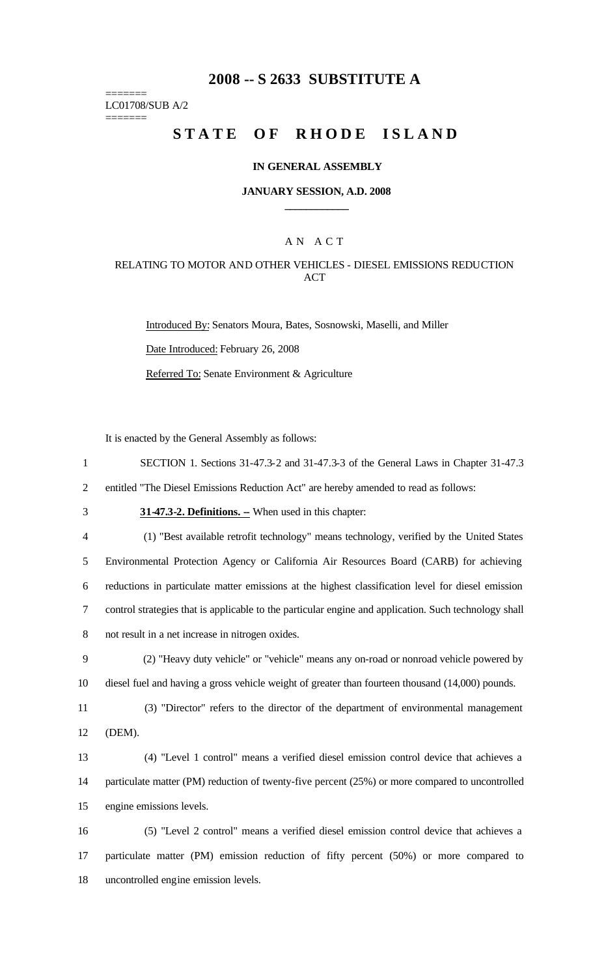# **2008 -- S 2633 SUBSTITUTE A**

======= LC01708/SUB A/2

=======

# **STATE OF RHODE ISLAND**

### **IN GENERAL ASSEMBLY**

### **JANUARY SESSION, A.D. 2008 \_\_\_\_\_\_\_\_\_\_\_\_**

## A N A C T

## RELATING TO MOTOR AND OTHER VEHICLES - DIESEL EMISSIONS REDUCTION ACT

Introduced By: Senators Moura, Bates, Sosnowski, Maselli, and Miller Date Introduced: February 26, 2008 Referred To: Senate Environment & Agriculture

It is enacted by the General Assembly as follows:

1 SECTION 1. Sections 31-47.3-2 and 31-47.3-3 of the General Laws in Chapter 31-47.3

2 entitled "The Diesel Emissions Reduction Act" are hereby amended to read as follows:

3 **31-47.3-2. Definitions.** - When used in this chapter:

4 (1) "Best available retrofit technology" means technology, verified by the United States Environmental Protection Agency or California Air Resources Board (CARB) for achieving reductions in particulate matter emissions at the highest classification level for diesel emission control strategies that is applicable to the particular engine and application. Such technology shall not result in a net increase in nitrogen oxides.

9 (2) "Heavy duty vehicle" or "vehicle" means any on-road or nonroad vehicle powered by 10 diesel fuel and having a gross vehicle weight of greater than fourteen thousand (14,000) pounds.

11 (3) "Director" refers to the director of the department of environmental management 12 (DEM).

13 (4) "Level 1 control" means a verified diesel emission control device that achieves a 14 particulate matter (PM) reduction of twenty-five percent (25%) or more compared to uncontrolled 15 engine emissions levels.

16 (5) "Level 2 control" means a verified diesel emission control device that achieves a 17 particulate matter (PM) emission reduction of fifty percent (50%) or more compared to 18 uncontrolled engine emission levels.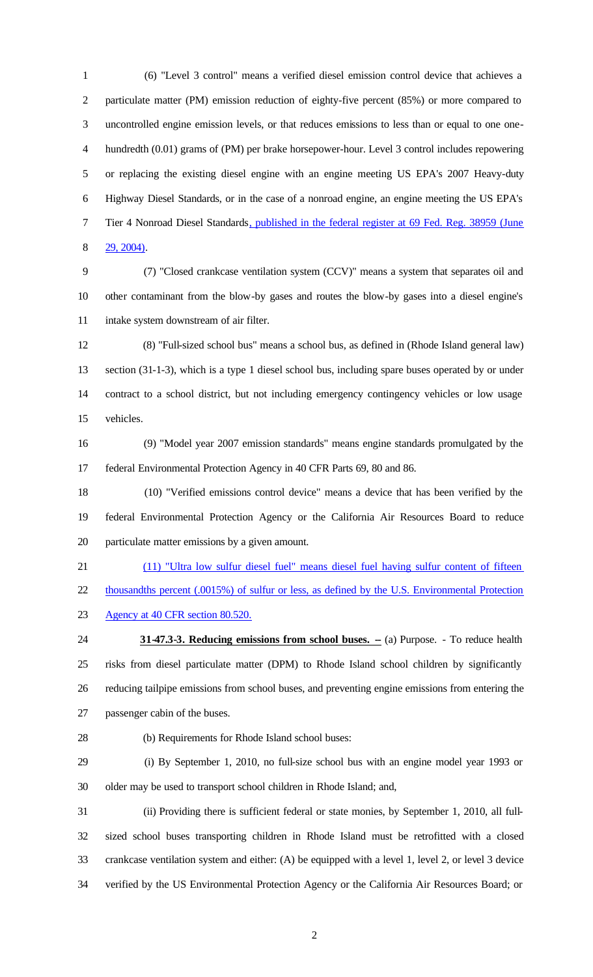1 (6) "Level 3 control" means a verified diesel emission control device that achieves a particulate matter (PM) emission reduction of eighty-five percent (85%) or more compared to uncontrolled engine emission levels, or that reduces emissions to less than or equal to one one- hundredth (0.01) grams of (PM) per brake horsepower-hour. Level 3 control includes repowering or replacing the existing diesel engine with an engine meeting US EPA's 2007 Heavy-duty Highway Diesel Standards, or in the case of a nonroad engine, an engine meeting the US EPA's Tier 4 Nonroad Diesel Standards, published in the federal register at 69 Fed. Reg. 38959 (June 29, 2004).

9 (7) "Closed crankcase ventilation system (CCV)" means a system that separates oil and other contaminant from the blow-by gases and routes the blow-by gases into a diesel engine's intake system downstream of air filter.

12 (8) "Full-sized school bus" means a school bus, as defined in (Rhode Island general law) section (31-1-3), which is a type 1 diesel school bus, including spare buses operated by or under contract to a school district, but not including emergency contingency vehicles or low usage vehicles.

16 (9) "Model year 2007 emission standards" means engine standards promulgated by the federal Environmental Protection Agency in 40 CFR Parts 69, 80 and 86.

18 (10) "Verified emissions control device" means a device that has been verified by the federal Environmental Protection Agency or the California Air Resources Board to reduce particulate matter emissions by a given amount.

(11) "Ultra low sulfur diesel fuel" means diesel fuel having sulfur content of fifteen

thousandths percent (.0015%) of sulfur or less, as defined by the U.S. Environmental Protection

Agency at 40 CFR section 80.520.

**31-47.3-3. Reducing emissions from school buses.** - (a) Purpose. - To reduce health risks from diesel particulate matter (DPM) to Rhode Island school children by significantly reducing tailpipe emissions from school buses, and preventing engine emissions from entering the passenger cabin of the buses.

28 (b) Requirements for Rhode Island school buses:

29 (i) By September 1, 2010, no full-size school bus with an engine model year 1993 or older may be used to transport school children in Rhode Island; and,

31 (ii) Providing there is sufficient federal or state monies, by September 1, 2010, all full- sized school buses transporting children in Rhode Island must be retrofitted with a closed crankcase ventilation system and either: (A) be equipped with a level 1, level 2, or level 3 device verified by the US Environmental Protection Agency or the California Air Resources Board; or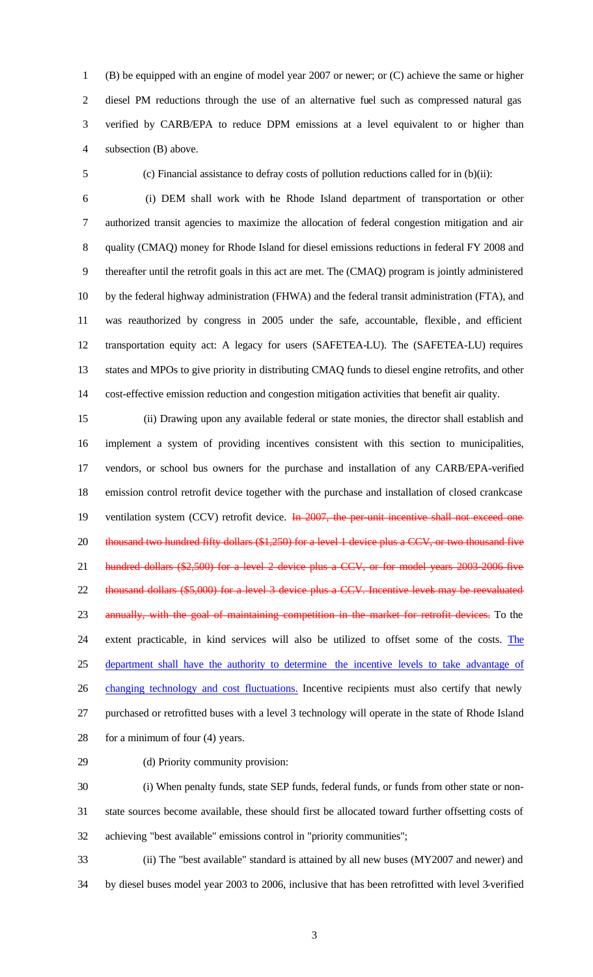(B) be equipped with an engine of model year 2007 or newer; or (C) achieve the same or higher diesel PM reductions through the use of an alternative fuel such as compressed natural gas verified by CARB/EPA to reduce DPM emissions at a level equivalent to or higher than subsection (B) above.

5 (c) Financial assistance to defray costs of pollution reductions called for in (b)(ii):

6 (i) DEM shall work with the Rhode Island department of transportation or other authorized transit agencies to maximize the allocation of federal congestion mitigation and air quality (CMAQ) money for Rhode Island for diesel emissions reductions in federal FY 2008 and thereafter until the retrofit goals in this act are met. The (CMAQ) program is jointly administered by the federal highway administration (FHWA) and the federal transit administration (FTA), and 11 was reauthorized by congress in 2005 under the safe, accountable, flexible, and efficient transportation equity act: A legacy for users (SAFETEA-LU). The (SAFETEA-LU) requires states and MPOs to give priority in distributing CMAQ funds to diesel engine retrofits, and other cost-effective emission reduction and congestion mitigation activities that benefit air quality.

15 (ii) Drawing upon any available federal or state monies, the director shall establish and implement a system of providing incentives consistent with this section to municipalities, vendors, or school bus owners for the purchase and installation of any CARB/EPA-verified emission control retrofit device together with the purchase and installation of closed crankcase 19 ventilation system (CCV) retrofit device. In 2007, the per-unit incentive shall not exceed one 20 thousand two hundred fifty dollars (\$1,250) for a level 1 device plus a CCV, or two thousand five 21 hundred dollars (\$2,500) for a level 2 device plus a CCV, or for model years 2003-2006 five 22 thousand dollars (\$5,000) for a level 3 device plus a CCV. Incentive levels may be reevaluated 23 annually, with the goal of maintaining competition in the market for retrofit devices. To the extent practicable, in kind services will also be utilized to offset some of the costs. The department shall have the authority to determine the incentive levels to take advantage of 26 changing technology and cost fluctuations. Incentive recipients must also certify that newly purchased or retrofitted buses with a level 3 technology will operate in the state of Rhode Island for a minimum of four (4) years.

29 (d) Priority community provision:

30 (i) When penalty funds, state SEP funds, federal funds, or funds from other state or non- state sources become available, these should first be allocated toward further offsetting costs of achieving "best available" emissions control in "priority communities";

33 (ii) The "best available" standard is attained by all new buses (MY2007 and newer) and by diesel buses model year 2003 to 2006, inclusive that has been retrofitted with level 3-verified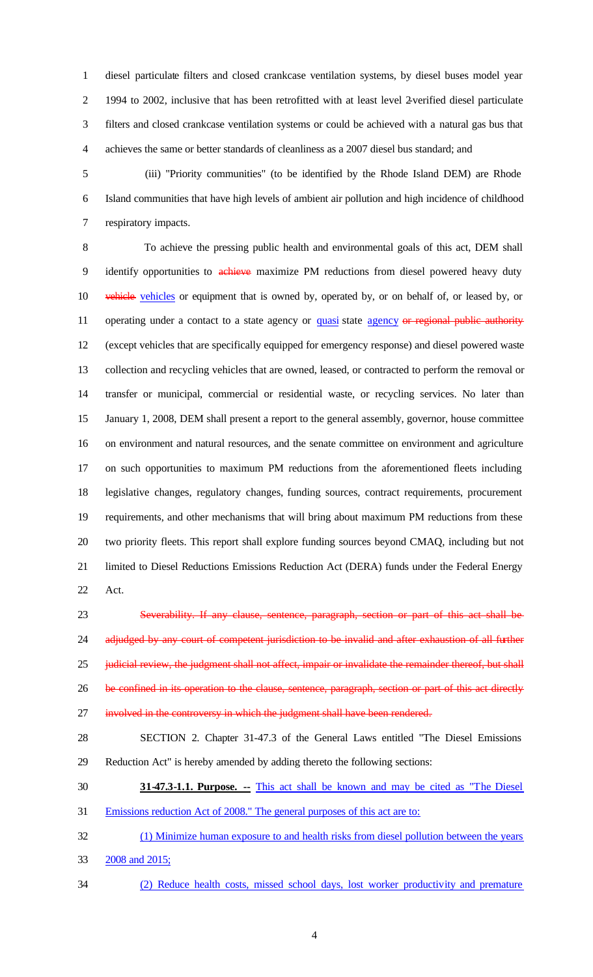diesel particulate filters and closed crankcase ventilation systems, by diesel buses model year 1994 to 2002, inclusive that has been retrofitted with at least level 2-verified diesel particulate filters and closed crankcase ventilation systems or could be achieved with a natural gas bus that achieves the same or better standards of cleanliness as a 2007 diesel bus standard; and

5 (iii) "Priority communities" (to be identified by the Rhode Island DEM) are Rhode Island communities that have high levels of ambient air pollution and high incidence of childhood respiratory impacts.

8 To achieve the pressing public health and environmental goals of this act, DEM shall 9 identify opportunities to achieve maximize PM reductions from diesel powered heavy duty 10 vehicle vehicles or equipment that is owned by, operated by, or on behalf of, or leased by, or 11 operating under a contact to a state agency or quasi state agency or regional public authority (except vehicles that are specifically equipped for emergency response) and diesel powered waste collection and recycling vehicles that are owned, leased, or contracted to perform the removal or transfer or municipal, commercial or residential waste, or recycling services. No later than January 1, 2008, DEM shall present a report to the general assembly, governor, house committee on environment and natural resources, and the senate committee on environment and agriculture on such opportunities to maximum PM reductions from the aforementioned fleets including legislative changes, regulatory changes, funding sources, contract requirements, procurement requirements, and other mechanisms that will bring about maximum PM reductions from these two priority fleets. This report shall explore funding sources beyond CMAQ, including but not limited to Diesel Reductions Emissions Reduction Act (DERA) funds under the Federal Energy Act.

 Severability. If any clause, sentence, paragraph, section or part of this act shall be 24 adjudged by any court of competent jurisdiction to be invalid and after exhaustion of all further 25 judicial review, the judgment shall not affect, impair or invalidate the remainder thereof, but shall 26 be confined in its operation to the clause, sentence, paragraph, section or part of this act directly 27 involved in the controversy in which the judgment shall have been rendered.

 SECTION 2. Chapter 31-47.3 of the General Laws entitled "The Diesel Emissions Reduction Act" is hereby amended by adding thereto the following sections:

**31-47.3-1.1. Purpose. --** This act shall be known and may be cited as "The Diesel

Emissions reduction Act of 2008." The general purposes of this act are to:

 (1) Minimize human exposure to and health risks from diesel pollution between the years 33 2008 and 2015;

(2) Reduce health costs, missed school days, lost worker productivity and premature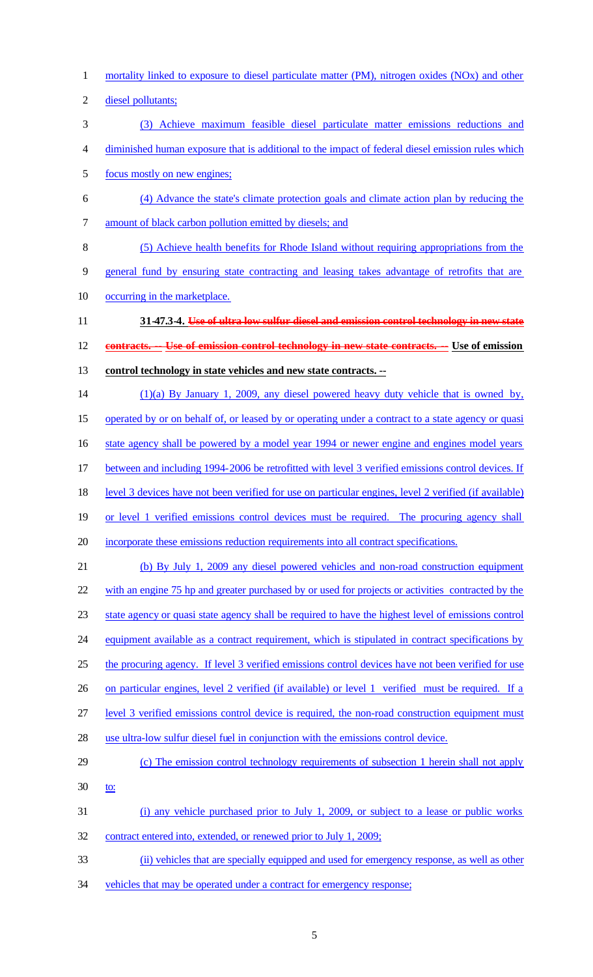- mortality linked to exposure to diesel particulate matter (PM), nitrogen oxides (NOx) and other
- diesel pollutants;
- (3) Achieve maximum feasible diesel particulate matter emissions reductions and
- diminished human exposure that is additional to the impact of federal diesel emission rules which
- focus mostly on new engines;
- (4) Advance the state's climate protection goals and climate action plan by reducing the amount of black carbon pollution emitted by diesels; and
- (5) Achieve health benefits for Rhode Island without requiring appropriations from the
- general fund by ensuring state contracting and leasing takes advantage of retrofits that are
- occurring in the marketplace.
- **31-47.3-4. Use of ultra low sulfur diesel and emission control technology in new state**

**contracts. -- Use of emission control technology in new state contracts. -- Use of emission** 

- **control technology in state vehicles and new state contracts. --**
- (1)(a) By January 1, 2009, any diesel powered heavy duty vehicle that is owned by,
- 15 operated by or on behalf of, or leased by or operating under a contract to a state agency or quasi

16 state agency shall be powered by a model year 1994 or newer engine and engines model years

- between and including 1994-2006 be retrofitted with level 3 verified emissions control devices. If
- 18 level 3 devices have not been verified for use on particular engines, level 2 verified (if available)
- or level 1 verified emissions control devices must be required. The procuring agency shall
- incorporate these emissions reduction requirements into all contract specifications.
- (b) By July 1, 2009 any diesel powered vehicles and non-road construction equipment

with an engine 75 hp and greater purchased by or used for projects or activities contracted by the

- state agency or quasi state agency shall be required to have the highest level of emissions control
- 24 equipment available as a contract requirement, which is stipulated in contract specifications by
- 25 the procuring agency. If level 3 verified emissions control devices have not been verified for use
- on particular engines, level 2 verified (if available) or level 1 verified must be required. If a
- level 3 verified emissions control device is required, the non-road construction equipment must
- use ultra-low sulfur diesel fuel in conjunction with the emissions control device.
- (c) The emission control technology requirements of subsection 1 herein shall not apply
- 30 <u>to:</u>
- (i) any vehicle purchased prior to July 1, 2009, or subject to a lease or public works
- contract entered into, extended, or renewed prior to July 1, 2009;
- (ii) vehicles that are specially equipped and used for emergency response, as well as other
- vehicles that may be operated under a contract for emergency response;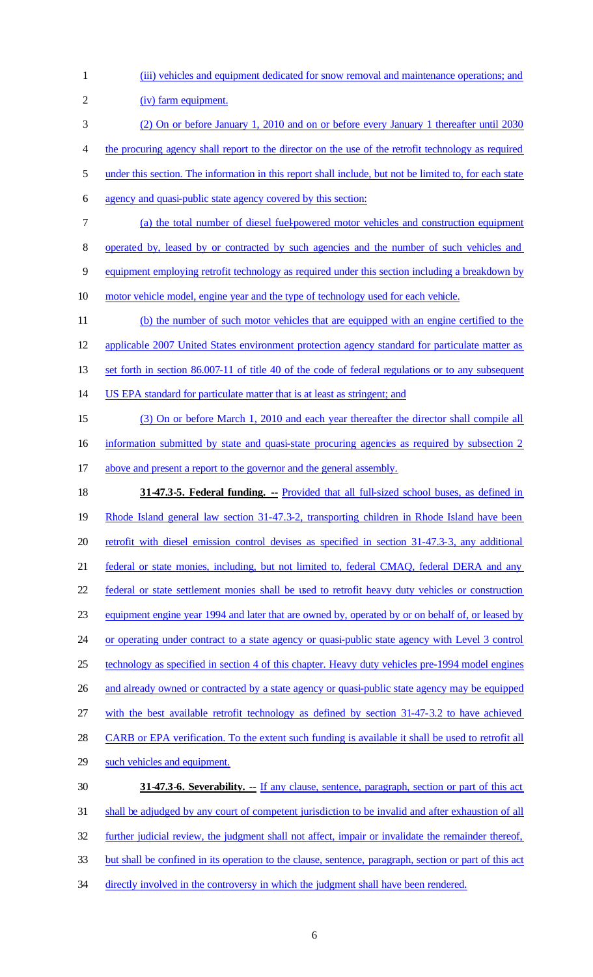| $\mathbf{1}$   | (iii) vehicles and equipment dedicated for snow removal and maintenance operations; and                 |
|----------------|---------------------------------------------------------------------------------------------------------|
| $\overline{c}$ | (iv) farm equipment.                                                                                    |
| 3              | (2) On or before January 1, 2010 and on or before every January 1 thereafter until 2030                 |
| 4              | the procuring agency shall report to the director on the use of the retrofit technology as required     |
| 5              | under this section. The information in this report shall include, but not be limited to, for each state |
| 6              | agency and quasi-public state agency covered by this section:                                           |
| 7              | (a) the total number of diesel fuel-powered motor vehicles and construction equipment                   |
| 8              | operated by, leased by or contracted by such agencies and the number of such vehicles and               |
| 9              | equipment employing retrofit technology as required under this section including a breakdown by         |
| 10             | motor vehicle model, engine year and the type of technology used for each vehicle.                      |
| 11             | (b) the number of such motor vehicles that are equipped with an engine certified to the                 |
| 12             | applicable 2007 United States environment protection agency standard for particulate matter as          |
| 13             | set forth in section 86.007-11 of title 40 of the code of federal regulations or to any subsequent      |
| 14             | US EPA standard for particulate matter that is at least as stringent; and                               |
| 15             | (3) On or before March 1, 2010 and each year thereafter the director shall compile all                  |
| 16             | information submitted by state and quasi-state procuring agencies as required by subsection 2           |
| 17             | above and present a report to the governor and the general assembly.                                    |
|                |                                                                                                         |
| 18             | 31-47.3-5. Federal funding. -- Provided that all full-sized school buses, as defined in                 |
| 19             | Rhode Island general law section 31-47.3-2, transporting children in Rhode Island have been             |
| 20             | retrofit with diesel emission control devises as specified in section 31-47.3-3, any additional         |
| 21             | federal or state monies, including, but not limited to, federal CMAQ, federal DERA and any              |
| 22             | federal or state settlement monies shall be used to retrofit heavy duty vehicles or construction        |
| 23             | equipment engine year 1994 and later that are owned by, operated by or on behalf of, or leased by       |
| 24             | or operating under contract to a state agency or quasi-public state agency with Level 3 control         |
| 25             | technology as specified in section 4 of this chapter. Heavy duty vehicles pre-1994 model engines        |
|                | and already owned or contracted by a state agency or quasi-public state agency may be equipped          |
| 26<br>27       | with the best available retrofit technology as defined by section 31-47-3.2 to have achieved            |
| 28             | CARB or EPA verification. To the extent such funding is available it shall be used to retrofit all      |
| 29             | such vehicles and equipment.                                                                            |
| 30             | <b>31-47.3-6. Severability.</b> -- If any clause, sentence, paragraph, section or part of this act      |
| 31             | shall be adjudged by any court of competent jurisdiction to be invalid and after exhaustion of all      |
| 32             | further judicial review, the judgment shall not affect, impair or invalidate the remainder thereof,     |
| 33             | but shall be confined in its operation to the clause, sentence, paragraph, section or part of this act  |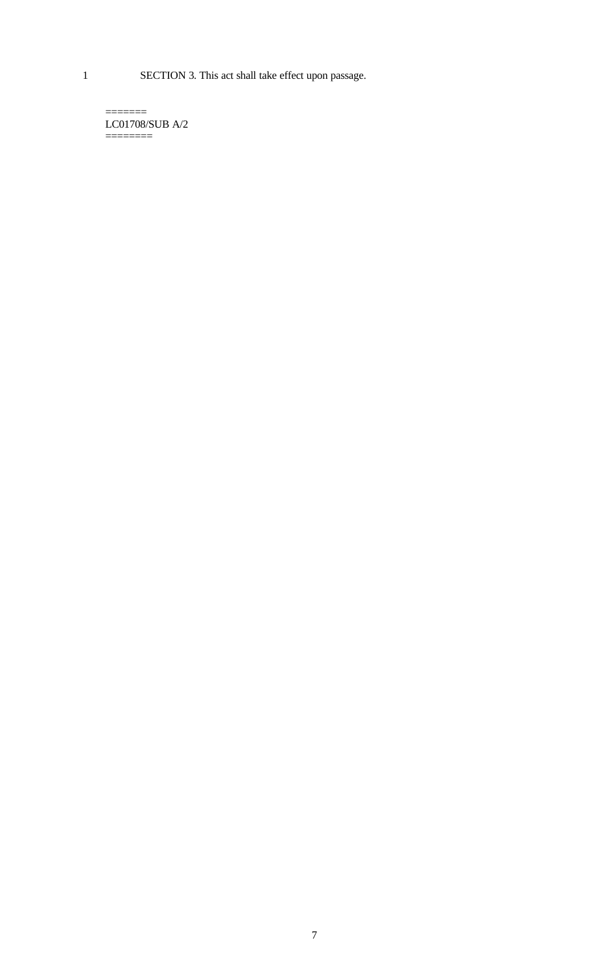1 SECTION 3. This act shall take effect upon passage.

 $=$ LC01708/SUB A/2 ========